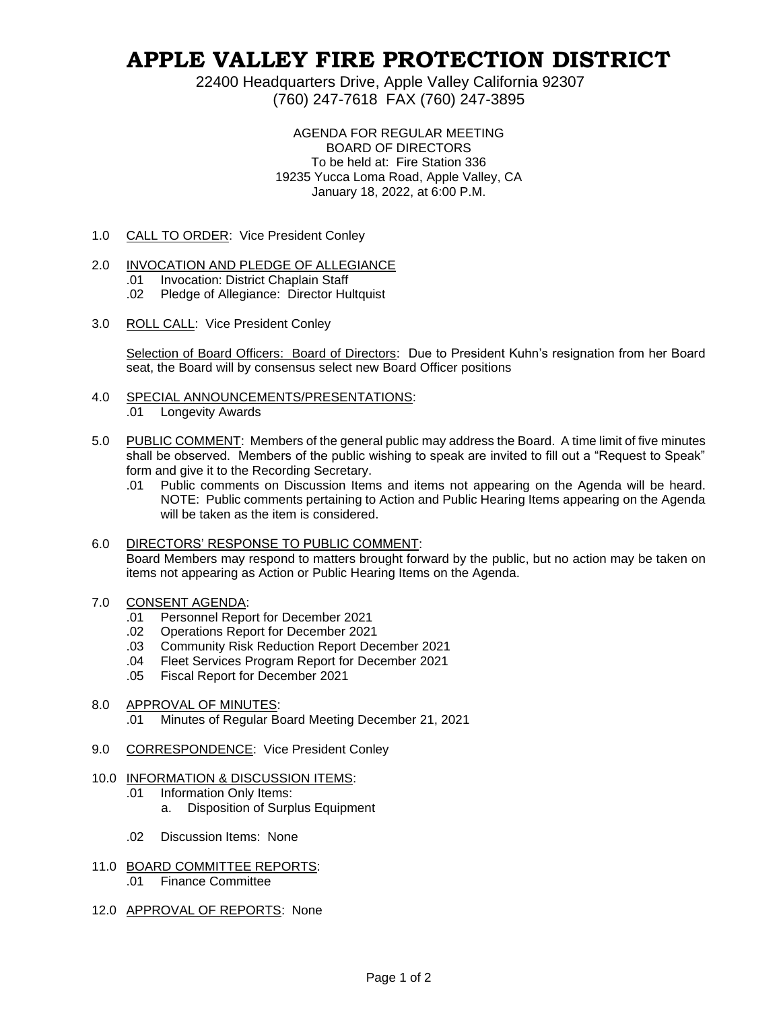# **APPLE VALLEY FIRE PROTECTION DISTRICT**

22400 Headquarters Drive, Apple Valley California 92307 (760) 247-7618 FAX (760) 247-3895

> AGENDA FOR REGULAR MEETING BOARD OF DIRECTORS To be held at: Fire Station 336 19235 Yucca Loma Road, Apple Valley, CA January 18, 2022, at 6:00 P.M.

1.0 CALL TO ORDER: Vice President Conley

### 2.0 INVOCATION AND PLEDGE OF ALLEGIANCE

- .01 Invocation: District Chaplain Staff
- .02 Pledge of Allegiance: Director Hultquist
- 3.0 ROLL CALL: Vice President Conley

Selection of Board Officers: Board of Directors: Due to President Kuhn's resignation from her Board seat, the Board will by consensus select new Board Officer positions

- 4.0 SPECIAL ANNOUNCEMENTS/PRESENTATIONS:
	- .01 Longevity Awards
- 5.0 PUBLIC COMMENT: Members of the general public may address the Board. A time limit of five minutes shall be observed. Members of the public wishing to speak are invited to fill out a "Request to Speak" form and give it to the Recording Secretary.
	- .01 Public comments on Discussion Items and items not appearing on the Agenda will be heard. NOTE: Public comments pertaining to Action and Public Hearing Items appearing on the Agenda will be taken as the item is considered.

## 6.0 DIRECTORS' RESPONSE TO PUBLIC COMMENT: Board Members may respond to matters brought forward by the public, but no action may be taken on items not appearing as Action or Public Hearing Items on the Agenda.

### 7.0 CONSENT AGENDA:

- .01 Personnel Report for December 2021
- .02 Operations Report for December 2021
- .03 Community Risk Reduction Report December 2021
- .04 Fleet Services Program Report for December 2021
- .05 Fiscal Report for December 2021

### 8.0 APPROVAL OF MINUTES:

- .01 Minutes of Regular Board Meeting December 21, 2021
- 9.0 CORRESPONDENCE: Vice President Conley
- 10.0 INFORMATION & DISCUSSION ITEMS:
	- .01 Information Only Items:
		- a. Disposition of Surplus Equipment
	- .02 Discussion Items: None
- 11.0 BOARD COMMITTEE REPORTS: .01 Finance Committee
- 12.0 APPROVAL OF REPORTS: None